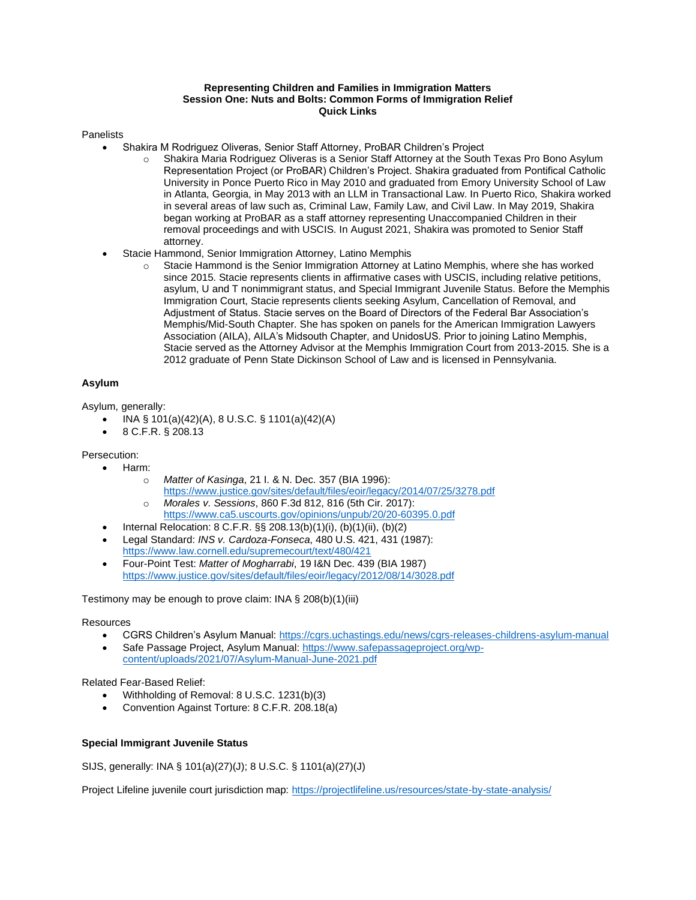# **Representing Children and Families in Immigration Matters Session One: Nuts and Bolts: Common Forms of Immigration Relief Quick Links**

### **Panelists**

- Shakira M Rodriguez Oliveras, Senior Staff Attorney, ProBAR Children's Project
	- o Shakira Maria Rodriguez Oliveras is a Senior Staff Attorney at the South Texas Pro Bono Asylum Representation Project (or ProBAR) Children's Project. Shakira graduated from Pontifical Catholic University in Ponce Puerto Rico in May 2010 and graduated from Emory University School of Law in Atlanta, Georgia, in May 2013 with an LLM in Transactional Law. In Puerto Rico, Shakira worked in several areas of law such as, Criminal Law, Family Law, and Civil Law. In May 2019, Shakira began working at ProBAR as a staff attorney representing Unaccompanied Children in their removal proceedings and with USCIS. In August 2021, Shakira was promoted to Senior Staff attorney.
- Stacie Hammond, Senior Immigration Attorney, Latino Memphis
	- o Stacie Hammond is the Senior Immigration Attorney at Latino Memphis, where she has worked since 2015. Stacie represents clients in affirmative cases with USCIS, including relative petitions, asylum, U and T nonimmigrant status, and Special Immigrant Juvenile Status. Before the Memphis Immigration Court, Stacie represents clients seeking Asylum, Cancellation of Removal, and Adjustment of Status. Stacie serves on the Board of Directors of the Federal Bar Association's Memphis/Mid-South Chapter. She has spoken on panels for the American Immigration Lawyers Association (AILA), AILA's Midsouth Chapter, and UnidosUS. Prior to joining Latino Memphis, Stacie served as the Attorney Advisor at the Memphis Immigration Court from 2013-2015. She is a 2012 graduate of Penn State Dickinson School of Law and is licensed in Pennsylvania.

# **Asylum**

Asylum, generally:

- INA § 101(a)(42)(A), 8 U.S.C. § 1101(a)(42)(A)
- 8 C.F.R. § 208.13

Persecution:

- Harm:
	- o *Matter of Kasinga*, 21 I. & N. Dec. 357 (BIA 1996): <https://www.justice.gov/sites/default/files/eoir/legacy/2014/07/25/3278.pdf>
	- o *Morales v. Sessions*, 860 F.3d 812, 816 (5th Cir. 2017): <https://www.ca5.uscourts.gov/opinions/unpub/20/20-60395.0.pdf>
	- Internal Relocation: 8 C.F.R. §§ 208.13(b)(1)(i), (b)(1)(ii), (b)(2)
	- Legal Standard: *INS v. Cardoza-Fonseca*, 480 U.S. 421, 431 (1987): <https://www.law.cornell.edu/supremecourt/text/480/421>
	- Four-Point Test: *Matter of Mogharrabi*, 19 I&N Dec. 439 (BIA 1987) <https://www.justice.gov/sites/default/files/eoir/legacy/2012/08/14/3028.pdf>

Testimony may be enough to prove claim: INA § 208(b)(1)(iii)

#### Resources

- CGRS Children's Asylum Manual[: https://cgrs.uchastings.edu/news/cgrs-releases-childrens-asylum-manual](https://cgrs.uchastings.edu/news/cgrs-releases-childrens-asylum-manual)
- Safe Passage Project, Asylum Manual: [https://www.safepassageproject.org/wp](https://www.safepassageproject.org/wp-content/uploads/2021/07/Asylum-Manual-June-2021.pdf)[content/uploads/2021/07/Asylum-Manual-June-2021.pdf](https://www.safepassageproject.org/wp-content/uploads/2021/07/Asylum-Manual-June-2021.pdf)

Related Fear-Based Relief:

- Withholding of Removal: 8 U.S.C. 1231(b)(3)
- Convention Against Torture: 8 C.F.R. 208.18(a)

### **Special Immigrant Juvenile Status**

SIJS, generally: INA § 101(a)(27)(J); 8 U.S.C. § 1101(a)(27)(J)

Project Lifeline juvenile court jurisdiction map[: https://projectlifeline.us/resources/state-by-state-analysis/](https://projectlifeline.us/resources/state-by-state-analysis/)